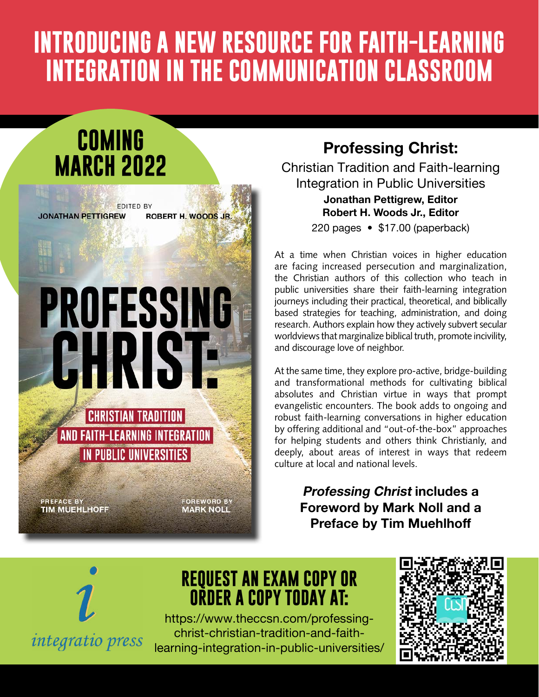## **INTRODUCING A NEW RESOURCE FOR FAITH-LEARNING INTEGRATION IN THE COMMUNICATION CLASSROOM**

### **COMING MARCH 2022**

**EDITED BY** ROBERT H. WOODS JR. **JONATHAN PETTIGREW** 

# **PROFESSING** EHRIS

**CHRISTIAN TRADITION AND FAITH-LEARNING INTEGRATION** IN PUBLIC UNIVERSITIES

**PREFACE BY TIM MUEHLHOFF**  **FOREWORD BY MARK NOLL** 

#### **Professing Christ:**

Christian Tradition and Faith-learning Integration in Public Universities **Jonathan Pettigrew, Editor**

**Robert H. Woods Jr., Editor**

220 pages • \$17.00 (paperback)

At a time when Christian voices in higher education are facing increased persecution and marginalization, the Christian authors of this collection who teach in public universities share their faith-learning integration journeys including their practical, theoretical, and biblically based strategies for teaching, administration, and doing research. Authors explain how they actively subvert secular worldviews that marginalize biblical truth, promote incivility, and discourage love of neighbor.

At the same time, they explore pro-active, bridge-building and transformational methods for cultivating biblical absolutes and Christian virtue in ways that prompt evangelistic encounters. The book adds to ongoing and robust faith-learning conversations in higher education by offering additional and "out-of-the-box" approaches for helping students and others think Christianly, and deeply, about areas of interest in ways that redeem culture at local and national levels.

> **Professing Christ includes a Foreword by Mark Noll and a Preface by Tim Muehlhoff**



#### **REQUEST AN EXAM COPY OR ORDER A COPY TODAY AT:**

[https://www.theccsn.com/professing](https://www.theccsn.com/professing-christ-christian-tradition-and-faith-learning-integration-in-public-universities/)[christ-christian-tradition-and-faith](https://www.theccsn.com/professing-christ-christian-tradition-and-faith-learning-integration-in-public-universities/)[learning-integration-in-public-universities/](https://www.theccsn.com/professing-christ-christian-tradition-and-faith-learning-integration-in-public-universities/)